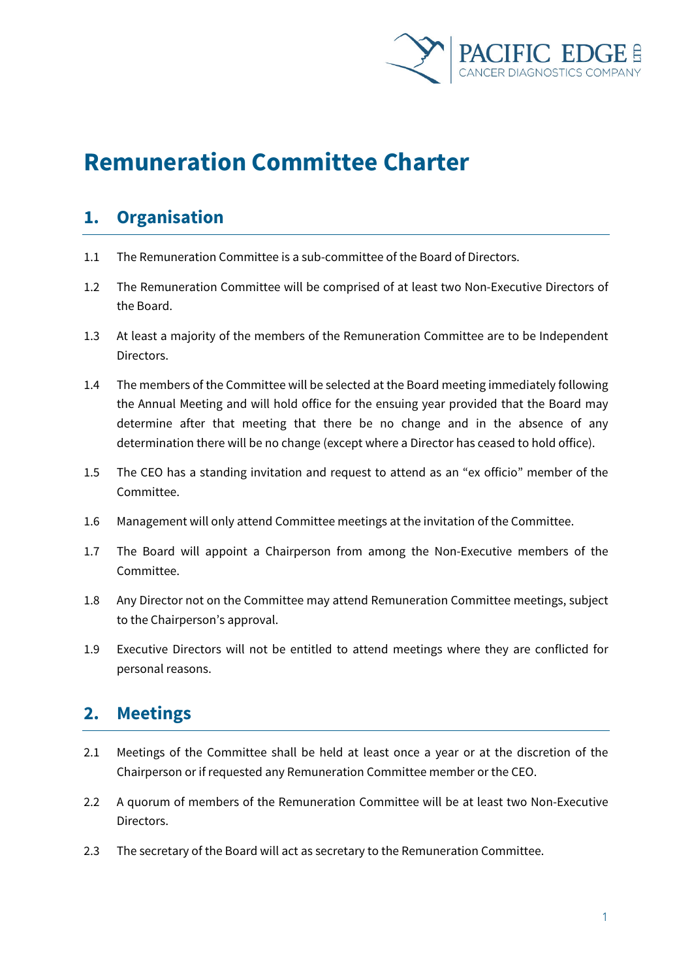

# **Remuneration Committee Charter**

#### **1. Organisation**

- 1.1 The Remuneration Committee is a sub-committee of the Board of Directors.
- 1.2 The Remuneration Committee will be comprised of at least two Non-Executive Directors of the Board.
- 1.3 At least a majority of the members of the Remuneration Committee are to be Independent Directors.
- 1.4 The members of the Committee will be selected at the Board meeting immediately following the Annual Meeting and will hold office for the ensuing year provided that the Board may determine after that meeting that there be no change and in the absence of any determination there will be no change (except where a Director has ceased to hold office).
- 1.5 The CEO has a standing invitation and request to attend as an "ex officio" member of the Committee.
- 1.6 Management will only attend Committee meetings at the invitation of the Committee.
- 1.7 The Board will appoint a Chairperson from among the Non-Executive members of the Committee.
- 1.8 Any Director not on the Committee may attend Remuneration Committee meetings, subject to the Chairperson's approval.
- 1.9 Executive Directors will not be entitled to attend meetings where they are conflicted for personal reasons.

#### **2. Meetings**

- 2.1 Meetings of the Committee shall be held at least once a year or at the discretion of the Chairperson or if requested any Remuneration Committee member or the CEO.
- 2.2 A quorum of members of the Remuneration Committee will be at least two Non-Executive Directors.
- 2.3 The secretary of the Board will act as secretary to the Remuneration Committee.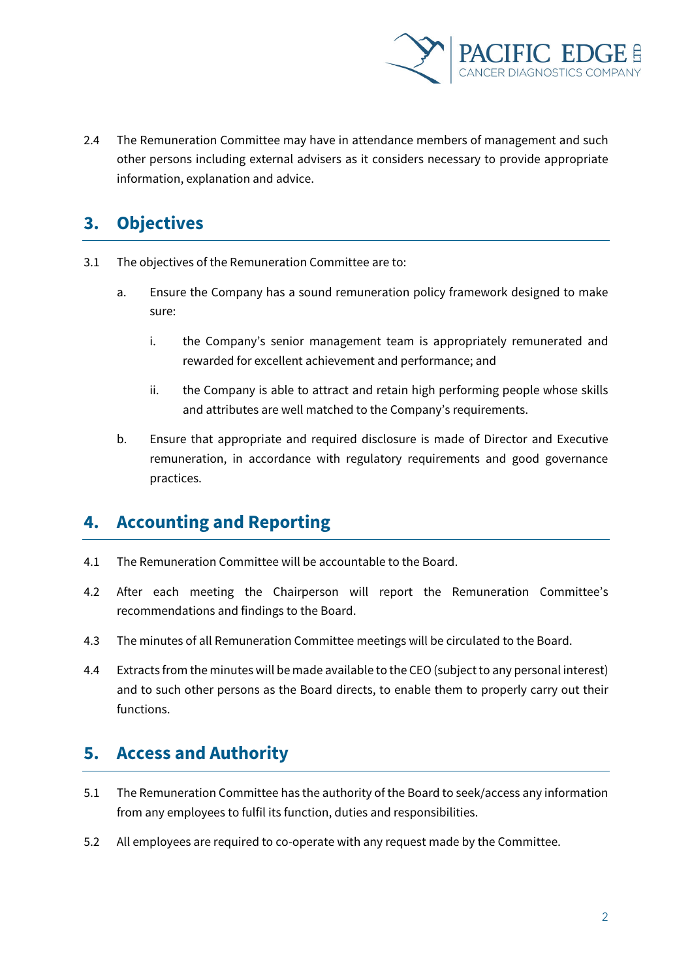

2.4 The Remuneration Committee may have in attendance members of management and such other persons including external advisers as it considers necessary to provide appropriate information, explanation and advice.

# **3. Objectives**

- 3.1 The objectives of the Remuneration Committee are to:
	- a. Ensure the Company has a sound remuneration policy framework designed to make sure:
		- i. the Company's senior management team is appropriately remunerated and rewarded for excellent achievement and performance; and
		- ii. the Company is able to attract and retain high performing people whose skills and attributes are well matched to the Company's requirements.
	- b. Ensure that appropriate and required disclosure is made of Director and Executive remuneration, in accordance with regulatory requirements and good governance practices.

# **4. Accounting and Reporting**

- 4.1 The Remuneration Committee will be accountable to the Board.
- 4.2 After each meeting the Chairperson will report the Remuneration Committee's recommendations and findings to the Board.
- 4.3 The minutes of all Remuneration Committee meetings will be circulated to the Board.
- 4.4 Extracts from the minutes will be made available to the CEO (subject to any personal interest) and to such other persons as the Board directs, to enable them to properly carry out their functions.

## **5. Access and Authority**

- 5.1 The Remuneration Committee has the authority of the Board to seek/access any information from any employees to fulfil its function, duties and responsibilities.
- 5.2 All employees are required to co-operate with any request made by the Committee.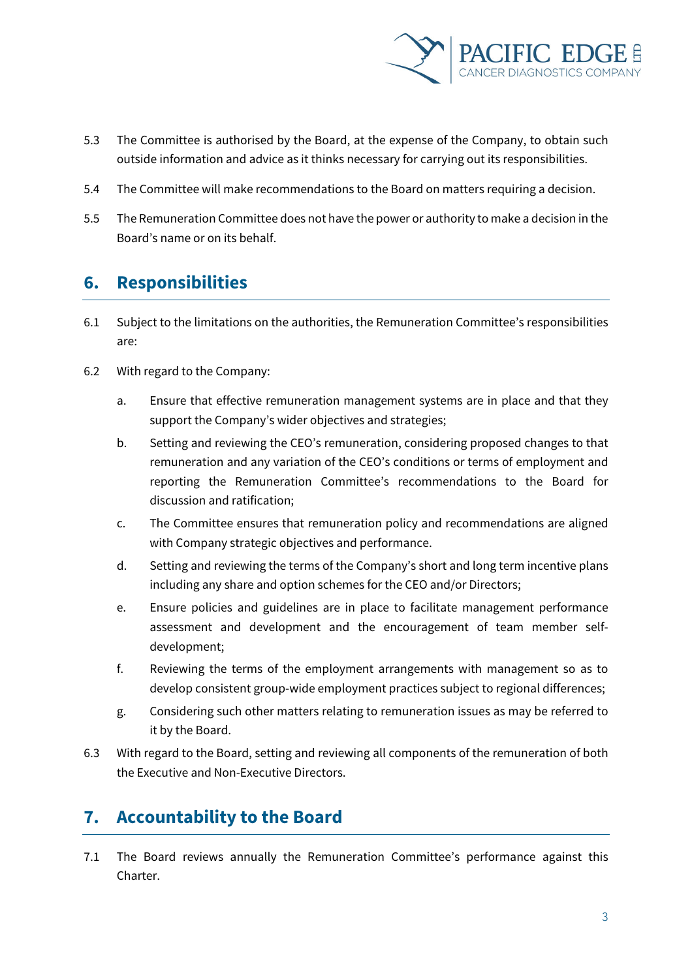

- 5.3 The Committee is authorised by the Board, at the expense of the Company, to obtain such outside information and advice as it thinks necessary for carrying out its responsibilities.
- 5.4 The Committee will make recommendations to the Board on matters requiring a decision.
- 5.5 The Remuneration Committee does not have the power or authority to make a decision in the Board's name or on its behalf.

### **6. Responsibilities**

- 6.1 Subject to the limitations on the authorities, the Remuneration Committee's responsibilities are:
- 6.2 With regard to the Company:
	- a. Ensure that effective remuneration management systems are in place and that they support the Company's wider objectives and strategies;
	- b. Setting and reviewing the CEO's remuneration, considering proposed changes to that remuneration and any variation of the CEO's conditions or terms of employment and reporting the Remuneration Committee's recommendations to the Board for discussion and ratification;
	- c. The Committee ensures that remuneration policy and recommendations are aligned with Company strategic objectives and performance.
	- d. Setting and reviewing the terms of the Company's short and long term incentive plans including any share and option schemes for the CEO and/or Directors;
	- e. Ensure policies and guidelines are in place to facilitate management performance assessment and development and the encouragement of team member selfdevelopment;
	- f. Reviewing the terms of the employment arrangements with management so as to develop consistent group-wide employment practices subject to regional differences;
	- g. Considering such other matters relating to remuneration issues as may be referred to it by the Board.
- 6.3 With regard to the Board, setting and reviewing all components of the remuneration of both the Executive and Non-Executive Directors.

# **7. Accountability to the Board**

7.1 The Board reviews annually the Remuneration Committee's performance against this Charter.